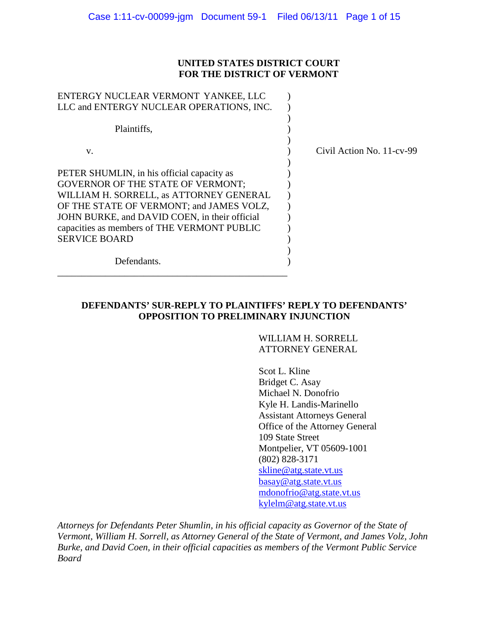#### **UNITED STATES DISTRICT COURT FOR THE DISTRICT OF VERMONT**

| ENTERGY NUCLEAR VERMONT YANKEE, LLC                                                                                                                                                                                                                                                                   |                           |
|-------------------------------------------------------------------------------------------------------------------------------------------------------------------------------------------------------------------------------------------------------------------------------------------------------|---------------------------|
| LLC and ENTERGY NUCLEAR OPERATIONS, INC.                                                                                                                                                                                                                                                              |                           |
| Plaintiffs,                                                                                                                                                                                                                                                                                           |                           |
| V.                                                                                                                                                                                                                                                                                                    | Civil Action No. 11-cv-99 |
| PETER SHUMLIN, in his official capacity as<br><b>GOVERNOR OF THE STATE OF VERMONT;</b><br>WILLIAM H. SORRELL, as ATTORNEY GENERAL<br>OF THE STATE OF VERMONT; and JAMES VOLZ,<br>JOHN BURKE, and DAVID COEN, in their official<br>capacities as members of THE VERMONT PUBLIC<br><b>SERVICE BOARD</b> |                           |
| Defendants.                                                                                                                                                                                                                                                                                           |                           |

#### **DEFENDANTS' SUR-REPLY TO PLAINTIFFS' REPLY TO DEFENDANTS' OPPOSITION TO PRELIMINARY INJUNCTION**

WILLIAM H. SORRELL ATTORNEY GENERAL

Scot L. Kline Bridget C. Asay Michael N. Donofrio Kyle H. Landis-Marinello Assistant Attorneys General Office of the Attorney General 109 State Street Montpelier, VT 05609-1001 (802) 828-3171 [skline@atg.state.vt.us](mailto:skline@atg.state.vt.us) [basay@atg.state.vt.us](mailto:basay@atg.state.vt.us) [mdonofrio@atg.state.vt.us](mailto:mdonofrio@atg.state.vt.us) [kylelm@atg.state.vt.us](mailto:kylelm@atg.state.vt.us)

*Attorneys for Defendants Peter Shumlin, in his official capacity as Governor of the State of Vermont, William H. Sorrell, as Attorney General of the State of Vermont, and James Volz, John Burke, and David Coen, in their official capacities as members of the Vermont Public Service Board*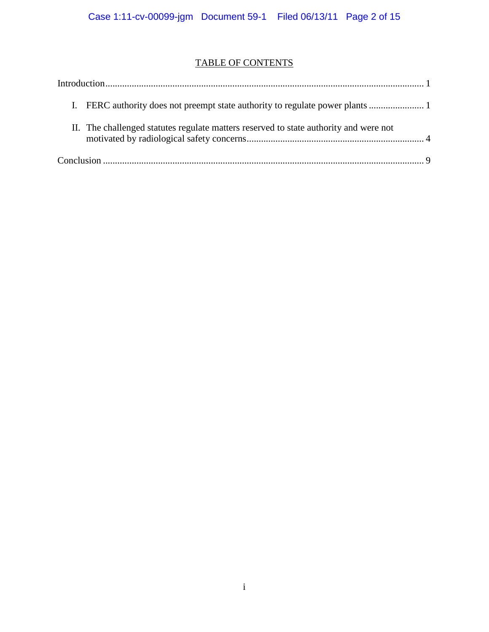# TABLE OF CONTENTS

| II. The challenged statutes regulate matters reserved to state authority and were not |  |
|---------------------------------------------------------------------------------------|--|
|                                                                                       |  |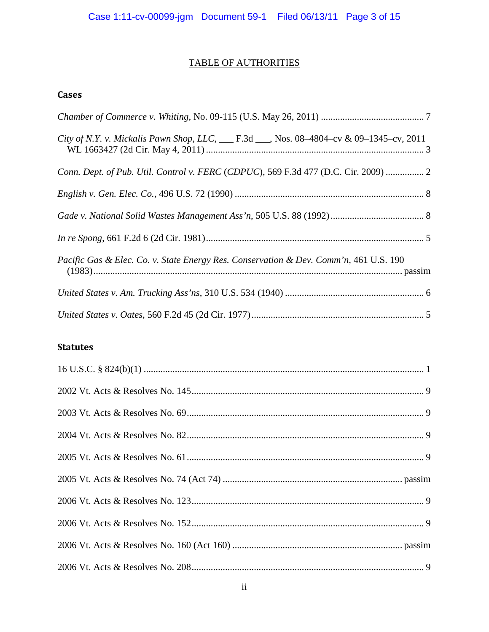# TABLE OF AUTHORITIES

# **Cases**

| City of N.Y. v. Mickalis Pawn Shop, LLC, ___ F.3d ___, Nos. 08-4804-cv & 09-1345-cv, 2011 |
|-------------------------------------------------------------------------------------------|
| Conn. Dept. of Pub. Util. Control v. FERC (CDPUC), 569 F.3d 477 (D.C. Cir. 2009)  2       |
|                                                                                           |
|                                                                                           |
|                                                                                           |
| Pacific Gas & Elec. Co. v. State Energy Res. Conservation & Dev. Comm'n, 461 U.S. 190     |
|                                                                                           |
|                                                                                           |

# **Statutes**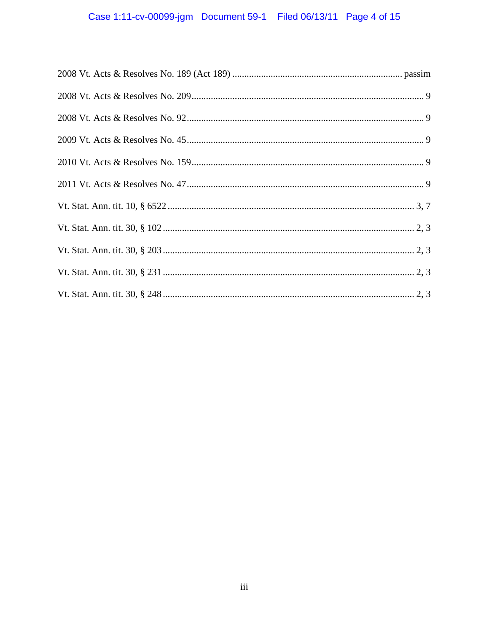# Case 1:11-cv-00099-jgm Document 59-1 Filed 06/13/11 Page 4 of 15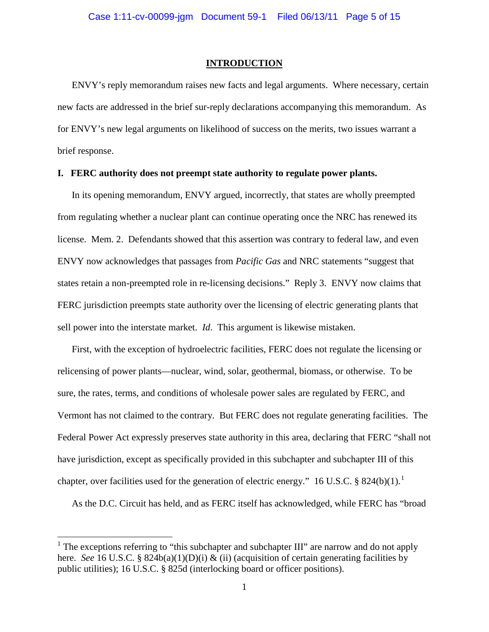#### **INTRODUCTION**

ENVY's reply memorandum raises new facts and legal arguments. Where necessary, certain new facts are addressed in the brief sur-reply declarations accompanying this memorandum. As for ENVY's new legal arguments on likelihood of success on the merits, two issues warrant a brief response.

#### **I. FERC authority does not preempt state authority to regulate power plants.**

In its opening memorandum, ENVY argued, incorrectly, that states are wholly preempted from regulating whether a nuclear plant can continue operating once the NRC has renewed its license. Mem. 2. Defendants showed that this assertion was contrary to federal law, and even ENVY now acknowledges that passages from *Pacific Gas* and NRC statements "suggest that states retain a non-preempted role in re-licensing decisions." Reply 3. ENVY now claims that FERC jurisdiction preempts state authority over the licensing of electric generating plants that sell power into the interstate market. *Id*. This argument is likewise mistaken.

First, with the exception of hydroelectric facilities, FERC does not regulate the licensing or relicensing of power plants—nuclear, wind, solar, geothermal, biomass, or otherwise. To be sure, the rates, terms, and conditions of wholesale power sales are regulated by FERC, and Vermont has not claimed to the contrary. But FERC does not regulate generating facilities. The Federal Power Act expressly preserves state authority in this area, declaring that FERC "shall not have jurisdiction, except as specifically provided in this subchapter and subchapter III of this chapter, over facilities used for the generation of electric energy." [1](#page-4-0)6 U.S.C. § 824(b)(1).

As the D.C. Circuit has held, and as FERC itself has acknowledged, while FERC has "broad

<span id="page-4-0"></span><sup>&</sup>lt;sup>1</sup> The exceptions referring to "this subchapter and subchapter III" are narrow and do not apply here. *See* 16 U.S.C. § 824b(a)(1)(D)(i) & (ii) (acquisition of certain generating facilities by public utilities); 16 U.S.C. § 825d (interlocking board or officer positions).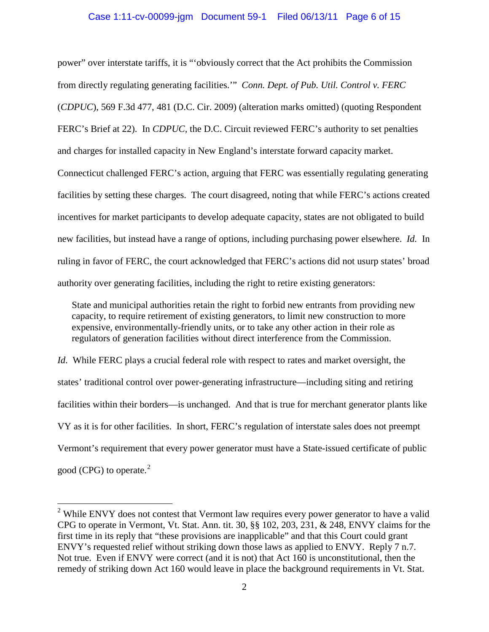#### Case 1:11-cv-00099-jgm Document 59-1 Filed 06/13/11 Page 6 of 15

power" over interstate tariffs, it is "'obviously correct that the Act prohibits the Commission from directly regulating generating facilities.'" *Conn. Dept. of Pub. Util. Control v. FERC* (*CDPUC*), 569 F.3d 477, 481 (D.C. Cir. 2009) (alteration marks omitted) (quoting Respondent FERC's Brief at 22). In *CDPUC,* the D.C. Circuit reviewed FERC's authority to set penalties and charges for installed capacity in New England's interstate forward capacity market. Connecticut challenged FERC's action, arguing that FERC was essentially regulating generating facilities by setting these charges. The court disagreed, noting that while FERC's actions created incentives for market participants to develop adequate capacity, states are not obligated to build new facilities, but instead have a range of options, including purchasing power elsewhere. *Id.* In ruling in favor of FERC, the court acknowledged that FERC's actions did not usurp states' broad authority over generating facilities, including the right to retire existing generators:

State and municipal authorities retain the right to forbid new entrants from providing new capacity, to require retirement of existing generators, to limit new construction to more expensive, environmentally-friendly units, or to take any other action in their role as regulators of generation facilities without direct interference from the Commission.

*Id.* While FERC plays a crucial federal role with respect to rates and market oversight, the states' traditional control over power-generating infrastructure—including siting and retiring facilities within their borders—is unchanged. And that is true for merchant generator plants like VY as it is for other facilities. In short, FERC's regulation of interstate sales does not preempt Vermont's requirement that every power generator must have a State-issued certificate of public good (CPG) to operate. $2$ 

<span id="page-5-0"></span> $2$  While ENVY does not contest that Vermont law requires every power generator to have a valid CPG to operate in Vermont, Vt. Stat. Ann. tit. 30, §§ 102, 203, 231, & 248, ENVY claims for the first time in its reply that "these provisions are inapplicable" and that this Court could grant ENVY's requested relief without striking down those laws as applied to ENVY. Reply 7 n.7. Not true. Even if ENVY were correct (and it is not) that Act 160 is unconstitutional, then the remedy of striking down Act 160 would leave in place the background requirements in Vt. Stat.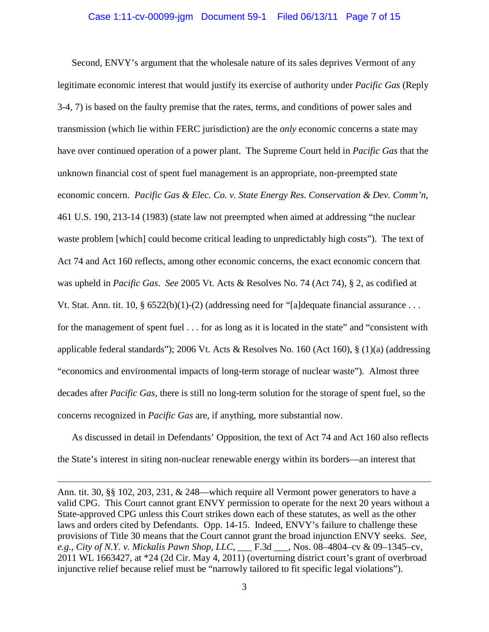#### Case 1:11-cv-00099-jgm Document 59-1 Filed 06/13/11 Page 7 of 15

Second, ENVY's argument that the wholesale nature of its sales deprives Vermont of any legitimate economic interest that would justify its exercise of authority under *Pacific Gas* (Reply 3-4, 7) is based on the faulty premise that the rates, terms, and conditions of power sales and transmission (which lie within FERC jurisdiction) are the *only* economic concerns a state may have over continued operation of a power plant. The Supreme Court held in *Pacific Gas* that the unknown financial cost of spent fuel management is an appropriate, non-preempted state economic concern. *Pacific Gas & Elec. Co. v. State Energy Res. Conservation & Dev. Comm'n*, 461 U.S. 190, 213-14 (1983) (state law not preempted when aimed at addressing "the nuclear waste problem [which] could become critical leading to unpredictably high costs"). The text of Act 74 and Act 160 reflects, among other economic concerns, the exact economic concern that was upheld in *Pacific Gas*. *See* 2005 Vt. Acts & Resolves No. 74 (Act 74), § 2, as codified at Vt. Stat. Ann. tit. 10, §  $6522(b)(1)-(2)$  (addressing need for "[a]dequate financial assurance ... for the management of spent fuel . . . for as long as it is located in the state" and "consistent with applicable federal standards"); 2006 Vt. Acts & Resolves No. 160 (Act 160), § (1)(a) (addressing "economics and environmental impacts of long-term storage of nuclear waste"). Almost three decades after *Pacific Gas,* there is still no long-term solution for the storage of spent fuel, so the concerns recognized in *Pacific Gas* are, if anything, more substantial now.

As discussed in detail in Defendants' Opposition, the text of Act 74 and Act 160 also reflects the State's interest in siting non-nuclear renewable energy within its borders—an interest that

 $\overline{a}$ 

Ann. tit. 30, §§ 102, 203, 231, & 248—which require all Vermont power generators to have a valid CPG. This Court cannot grant ENVY permission to operate for the next 20 years without a State-approved CPG unless this Court strikes down each of these statutes, as well as the other laws and orders cited by Defendants. Opp. 14-15. Indeed, ENVY's failure to challenge these provisions of Title 30 means that the Court cannot grant the broad injunction ENVY seeks. *See*, *e.g.*, *City of N.Y. v. Mickalis Pawn Shop, LLC*, \_\_\_ F.3d \_\_\_, Nos. 08–4804–cv & 09–1345–cv, 2011 WL 1663427, at \*24 (2d Cir. May 4, 2011) (overturning district court's grant of overbroad injunctive relief because relief must be "narrowly tailored to fit specific legal violations").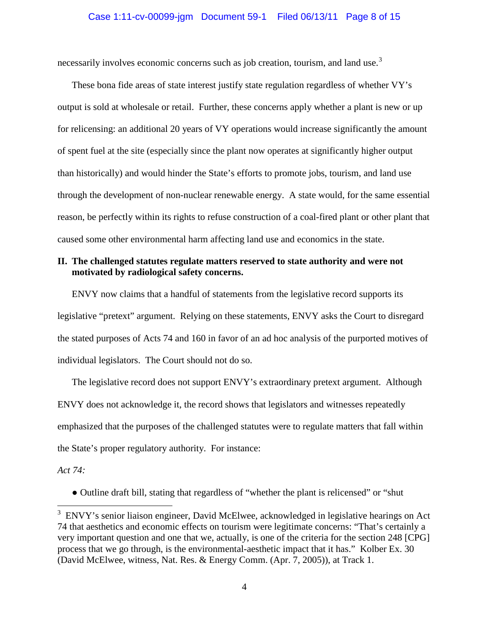necessarily involves economic concerns such as job creation, tourism, and land use.<sup>[3](#page-7-0)</sup>

These bona fide areas of state interest justify state regulation regardless of whether VY's output is sold at wholesale or retail. Further, these concerns apply whether a plant is new or up for relicensing: an additional 20 years of VY operations would increase significantly the amount of spent fuel at the site (especially since the plant now operates at significantly higher output than historically) and would hinder the State's efforts to promote jobs, tourism, and land use through the development of non-nuclear renewable energy. A state would, for the same essential reason, be perfectly within its rights to refuse construction of a coal-fired plant or other plant that caused some other environmental harm affecting land use and economics in the state.

#### **II. The challenged statutes regulate matters reserved to state authority and were not motivated by radiological safety concerns.**

ENVY now claims that a handful of statements from the legislative record supports its legislative "pretext" argument. Relying on these statements, ENVY asks the Court to disregard the stated purposes of Acts 74 and 160 in favor of an ad hoc analysis of the purported motives of individual legislators. The Court should not do so.

The legislative record does not support ENVY's extraordinary pretext argument. Although ENVY does not acknowledge it, the record shows that legislators and witnesses repeatedly emphasized that the purposes of the challenged statutes were to regulate matters that fall within the State's proper regulatory authority. For instance:

*Act 74:*

● Outline draft bill, stating that regardless of "whether the plant is relicensed" or "shut

<span id="page-7-0"></span><sup>&</sup>lt;sup>3</sup> ENVY's senior liaison engineer, David McElwee, acknowledged in legislative hearings on Act 74 that aesthetics and economic effects on tourism were legitimate concerns: "That's certainly a very important question and one that we, actually, is one of the criteria for the section 248 [CPG] process that we go through, is the environmental-aesthetic impact that it has." Kolber Ex. 30 (David McElwee, witness, Nat. Res. & Energy Comm. (Apr. 7, 2005)), at Track 1.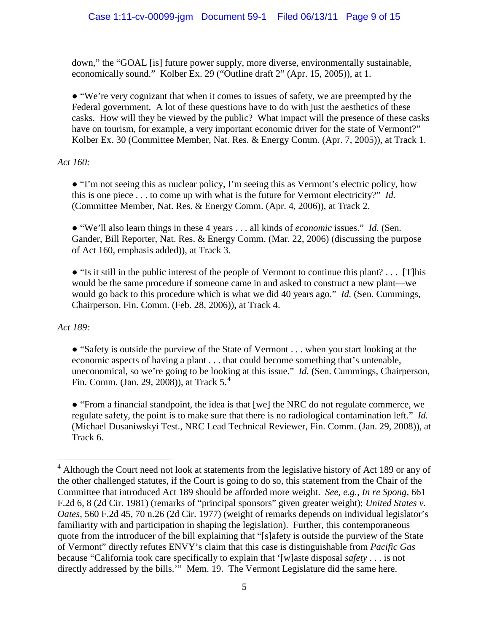down," the "GOAL [is] future power supply, more diverse, environmentally sustainable, economically sound." Kolber Ex. 29 ("Outline draft 2" (Apr. 15, 2005)), at 1.

● "We're very cognizant that when it comes to issues of safety, we are preempted by the Federal government. A lot of these questions have to do with just the aesthetics of these casks. How will they be viewed by the public? What impact will the presence of these casks have on tourism, for example, a very important economic driver for the state of Vermont?" Kolber Ex. 30 (Committee Member, Nat. Res. & Energy Comm. (Apr. 7, 2005)), at Track 1.

*Act 160:* 

● "I'm not seeing this as nuclear policy, I'm seeing this as Vermont's electric policy, how this is one piece . . . to come up with what is the future for Vermont electricity?" *Id.* (Committee Member, Nat. Res. & Energy Comm. (Apr. 4, 2006)), at Track 2.

● "We'll also learn things in these 4 years . . . all kinds of *economic* issues." *Id.* (Sen. Gander, Bill Reporter, Nat. Res. & Energy Comm. (Mar. 22, 2006) (discussing the purpose of Act 160, emphasis added)), at Track 3.

● "Is it still in the public interest of the people of Vermont to continue this plant? . . . [T]his would be the same procedure if someone came in and asked to construct a new plant—we would go back to this procedure which is what we did 40 years ago." *Id.* (Sen. Cummings, Chairperson, Fin. Comm. (Feb. 28, 2006)), at Track 4.

*Act 189:*

• "Safety is outside the purview of the State of Vermont . . . when you start looking at the economic aspects of having a plant . . . that could become something that's untenable, uneconomical, so we're going to be looking at this issue." *Id.* (Sen. Cummings, Chairperson, Fin. Comm. (Jan. 29, 2008)), at Track 5.<sup>[4](#page-8-0)</sup>

● "From a financial standpoint, the idea is that [we] the NRC do not regulate commerce, we regulate safety, the point is to make sure that there is no radiological contamination left." *Id.*  (Michael Dusaniwskyi Test., NRC Lead Technical Reviewer, Fin. Comm. (Jan. 29, 2008)), at Track 6.

<span id="page-8-0"></span><sup>&</sup>lt;sup>4</sup> Although the Court need not look at statements from the legislative history of Act 189 or any of the other challenged statutes, if the Court is going to do so, this statement from the Chair of the Committee that introduced Act 189 should be afforded more weight. *See, e.g.*, *In re Spong*, 661 F.2d 6, 8 (2d Cir. 1981) (remarks of "principal sponsors" given greater weight); *United States v. Oates*, 560 F.2d 45, 70 n.26 (2d Cir. 1977) (weight of remarks depends on individual legislator's familiarity with and participation in shaping the legislation). Further, this contemporaneous quote from the introducer of the bill explaining that "[s]afety is outside the purview of the State of Vermont" directly refutes ENVY's claim that this case is distinguishable from *Pacific Gas* because "California took care specifically to explain that '[w]aste disposal *safety* . . . is not directly addressed by the bills.'" Mem. 19. The Vermont Legislature did the same here.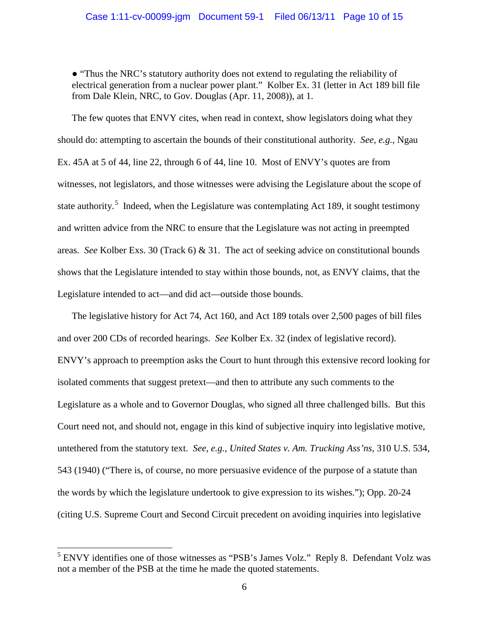● "Thus the NRC's statutory authority does not extend to regulating the reliability of electrical generation from a nuclear power plant." Kolber Ex. 31 (letter in Act 189 bill file from Dale Klein, NRC, to Gov. Douglas (Apr. 11, 2008)), at 1.

The few quotes that ENVY cites, when read in context, show legislators doing what they should do: attempting to ascertain the bounds of their constitutional authority. *See, e.g.*, Ngau Ex. 45A at 5 of 44, line 22, through 6 of 44, line 10. Most of ENVY's quotes are from witnesses, not legislators, and those witnesses were advising the Legislature about the scope of state authority.<sup>[5](#page-9-0)</sup> Indeed, when the Legislature was contemplating Act 189, it sought testimony and written advice from the NRC to ensure that the Legislature was not acting in preempted areas. *See* Kolber Exs. 30 (Track 6) & 31. The act of seeking advice on constitutional bounds shows that the Legislature intended to stay within those bounds, not, as ENVY claims, that the Legislature intended to act—and did act—outside those bounds.

The legislative history for Act 74, Act 160, and Act 189 totals over 2,500 pages of bill files and over 200 CDs of recorded hearings. *See* Kolber Ex. 32 (index of legislative record). ENVY's approach to preemption asks the Court to hunt through this extensive record looking for isolated comments that suggest pretext—and then to attribute any such comments to the Legislature as a whole and to Governor Douglas, who signed all three challenged bills. But this Court need not, and should not, engage in this kind of subjective inquiry into legislative motive, untethered from the statutory text. *See, e.g.*, *United States v. Am. Trucking Ass'ns*, 310 U.S. 534, 543 (1940) ("There is, of course, no more persuasive evidence of the purpose of a statute than the words by which the legislature undertook to give expression to its wishes."); Opp. 20-24 (citing U.S. Supreme Court and Second Circuit precedent on avoiding inquiries into legislative

<span id="page-9-0"></span><sup>&</sup>lt;sup>5</sup> ENVY identifies one of those witnesses as "PSB's James Volz." Reply 8. Defendant Volz was not a member of the PSB at the time he made the quoted statements.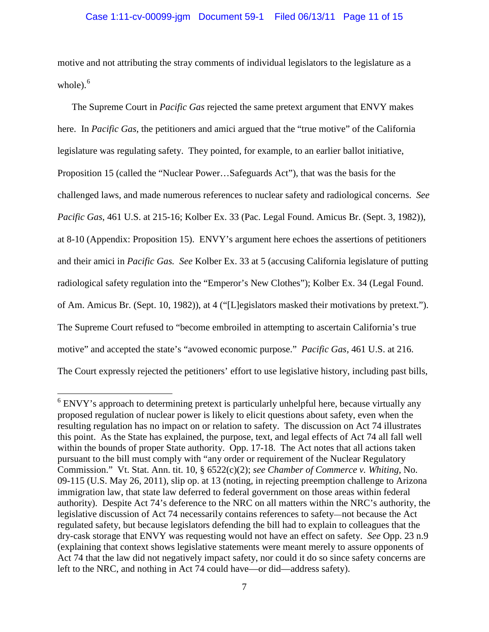motive and not attributing the stray comments of individual legislators to the legislature as a whole).<sup>[6](#page-10-0)</sup>

The Supreme Court in *Pacific Gas* rejected the same pretext argument that ENVY makes here. In *Pacific Gas*, the petitioners and amici argued that the "true motive" of the California legislature was regulating safety. They pointed, for example, to an earlier ballot initiative, Proposition 15 (called the "Nuclear Power…Safeguards Act"), that was the basis for the challenged laws, and made numerous references to nuclear safety and radiological concerns. *See Pacific Gas*, 461 U.S. at 215-16; Kolber Ex. 33 (Pac. Legal Found. Amicus Br. (Sept. 3, 1982)), at 8-10 (Appendix: Proposition 15). ENVY's argument here echoes the assertions of petitioners and their amici in *Pacific Gas. See* Kolber Ex. 33 at 5 (accusing California legislature of putting radiological safety regulation into the "Emperor's New Clothes"); Kolber Ex. 34 (Legal Found. of Am. Amicus Br. (Sept. 10, 1982)), at 4 ("[L]egislators masked their motivations by pretext."). The Supreme Court refused to "become embroiled in attempting to ascertain California's true motive" and accepted the state's "avowed economic purpose." *Pacific Gas,* 461 U.S. at 216. The Court expressly rejected the petitioners' effort to use legislative history, including past bills,

<span id="page-10-0"></span> $6$  ENVY's approach to determining pretext is particularly unhelpful here, because virtually any proposed regulation of nuclear power is likely to elicit questions about safety, even when the resulting regulation has no impact on or relation to safety. The discussion on Act 74 illustrates this point. As the State has explained, the purpose, text, and legal effects of Act 74 all fall well within the bounds of proper State authority. Opp. 17-18. The Act notes that all actions taken pursuant to the bill must comply with "any order or requirement of the Nuclear Regulatory Commission." Vt. Stat. Ann. tit. 10, § 6522(c)(2); *see Chamber of Commerce v. Whiting*, No. 09-115 (U.S. May 26, 2011), slip op. at 13 (noting, in rejecting preemption challenge to Arizona immigration law, that state law deferred to federal government on those areas within federal authority). Despite Act 74's deference to the NRC on all matters within the NRC's authority, the legislative discussion of Act 74 necessarily contains references to safety—not because the Act regulated safety, but because legislators defending the bill had to explain to colleagues that the dry-cask storage that ENVY was requesting would not have an effect on safety. *See* Opp. 23 n.9 (explaining that context shows legislative statements were meant merely to assure opponents of Act 74 that the law did not negatively impact safety, nor could it do so since safety concerns are left to the NRC, and nothing in Act 74 could have—or did—address safety).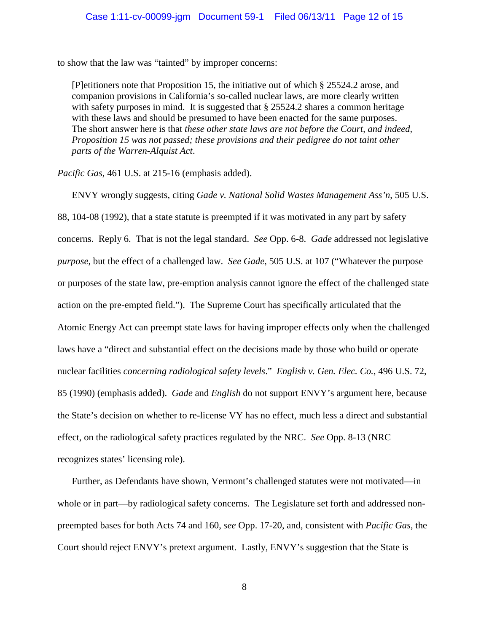to show that the law was "tainted" by improper concerns:

[P]etitioners note that Proposition 15, the initiative out of which § 25524.2 arose, and companion provisions in California's so-called nuclear laws, are more clearly written with safety purposes in mind. It is suggested that  $\S 25524.2$  shares a common heritage with these laws and should be presumed to have been enacted for the same purposes. The short answer here is that *these other state laws are not before the Court, and indeed, Proposition 15 was not passed; these provisions and their pedigree do not taint other parts of the Warren-Alquist Act*.

*Pacific Gas*, 461 U.S. at 215-16 (emphasis added).

ENVY wrongly suggests, citing *Gade v. National Solid Wastes Management Ass'n*, 505 U.S. 88, 104-08 (1992), that a state statute is preempted if it was motivated in any part by safety concerns. Reply 6. That is not the legal standard. *See* Opp. 6-8. *Gade* addressed not legislative *purpose*, but the effect of a challenged law. *See Gade*, 505 U.S. at 107 ("Whatever the purpose or purposes of the state law, pre-emption analysis cannot ignore the effect of the challenged state action on the pre-empted field."). The Supreme Court has specifically articulated that the Atomic Energy Act can preempt state laws for having improper effects only when the challenged laws have a "direct and substantial effect on the decisions made by those who build or operate nuclear facilities *concerning radiological safety levels*." *English v. Gen. Elec. Co.*, 496 U.S. 72, 85 (1990) (emphasis added). *Gade* and *English* do not support ENVY's argument here, because the State's decision on whether to re-license VY has no effect, much less a direct and substantial effect, on the radiological safety practices regulated by the NRC. *See* Opp. 8-13 (NRC recognizes states' licensing role).

Further, as Defendants have shown, Vermont's challenged statutes were not motivated—in whole or in part—by radiological safety concerns. The Legislature set forth and addressed nonpreempted bases for both Acts 74 and 160, *see* Opp. 17-20, and, consistent with *Pacific Gas*, the Court should reject ENVY's pretext argument. Lastly, ENVY's suggestion that the State is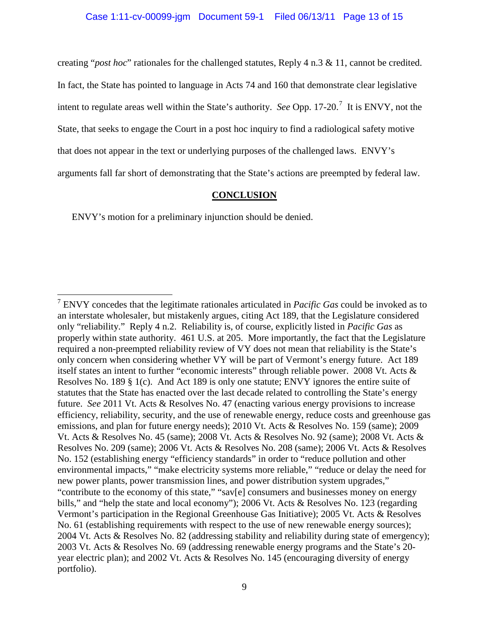creating "*post hoc*" rationales for the challenged statutes, Reply 4 n.3 & 11, cannot be credited.

In fact, the State has pointed to language in Acts 74 and 160 that demonstrate clear legislative

intent to regulate areas well within the State's authority. *See* Opp. 1[7](#page-12-0)-20.<sup>7</sup> It is ENVY, not the

State, that seeks to engage the Court in a post hoc inquiry to find a radiological safety motive

that does not appear in the text or underlying purposes of the challenged laws. ENVY's

arguments fall far short of demonstrating that the State's actions are preempted by federal law.

#### **CONCLUSION**

ENVY's motion for a preliminary injunction should be denied.

<span id="page-12-0"></span> <sup>7</sup> ENVY concedes that the legitimate rationales articulated in *Pacific Gas* could be invoked as to an interstate wholesaler, but mistakenly argues, citing Act 189, that the Legislature considered only "reliability." Reply 4 n.2. Reliability is, of course, explicitly listed in *Pacific Gas* as properly within state authority. 461 U.S. at 205. More importantly, the fact that the Legislature required a non-preempted reliability review of VY does not mean that reliability is the State's only concern when considering whether VY will be part of Vermont's energy future. Act 189 itself states an intent to further "economic interests" through reliable power. 2008 Vt. Acts & Resolves No. 189 § 1(c). And Act 189 is only one statute; ENVY ignores the entire suite of statutes that the State has enacted over the last decade related to controlling the State's energy future. *See* 2011 Vt. Acts & Resolves No. 47 (enacting various energy provisions to increase efficiency, reliability, security, and the use of renewable energy, reduce costs and greenhouse gas emissions, and plan for future energy needs); 2010 Vt. Acts & Resolves No. 159 (same); 2009 Vt. Acts & Resolves No. 45 (same); 2008 Vt. Acts & Resolves No. 92 (same); 2008 Vt. Acts & Resolves No. 209 (same); 2006 Vt. Acts & Resolves No. 208 (same); 2006 Vt. Acts & Resolves No. 152 (establishing energy "efficiency standards" in order to "reduce pollution and other environmental impacts," "make electricity systems more reliable," "reduce or delay the need for new power plants, power transmission lines, and power distribution system upgrades," "contribute to the economy of this state," "sav[e] consumers and businesses money on energy bills," and "help the state and local economy"); 2006 Vt. Acts & Resolves No. 123 (regarding Vermont's participation in the Regional Greenhouse Gas Initiative); 2005 Vt. Acts & Resolves No. 61 (establishing requirements with respect to the use of new renewable energy sources); 2004 Vt. Acts & Resolves No. 82 (addressing stability and reliability during state of emergency); 2003 Vt. Acts & Resolves No. 69 (addressing renewable energy programs and the State's 20 year electric plan); and 2002 Vt. Acts & Resolves No. 145 (encouraging diversity of energy portfolio).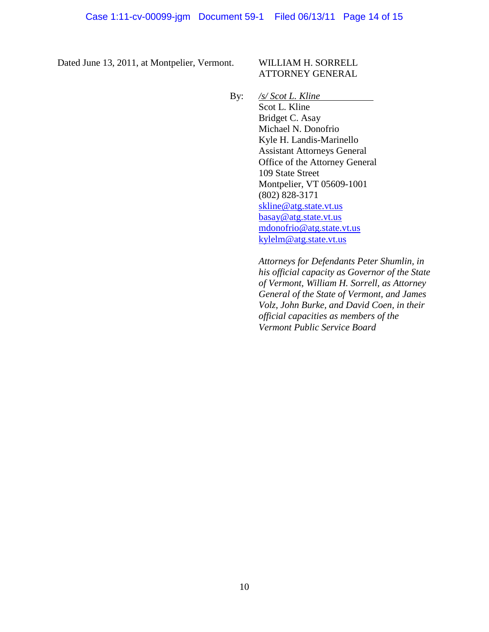Dated June 13, 2011, at Montpelier, Vermont. WILLIAM H. SORRELL

# ATTORNEY GENERAL

By: */s/ Scot L. Kline* Scot L. Kline Bridget C. Asay Michael N. Donofrio Kyle H. Landis-Marinello Assistant Attorneys General Office of the Attorney General 109 State Street Montpelier, VT 05609-1001 (802) 828-3171 [skline@atg.state.vt.us](mailto:skline@atg.state.vt.us) [basay@atg.state.vt.us](mailto:basay@atg.state.vt.us)

> [mdonofrio@atg.state.vt.us](mailto:mdonofrio@atg.state.vt.us) [kylelm@atg.state.vt.us](mailto:kylelm@atg.state.vt.us)

*Attorneys for Defendants Peter Shumlin, in his official capacity as Governor of the State of Vermont, William H. Sorrell, as Attorney General of the State of Vermont, and James Volz, John Burke, and David Coen, in their official capacities as members of the Vermont Public Service Board*